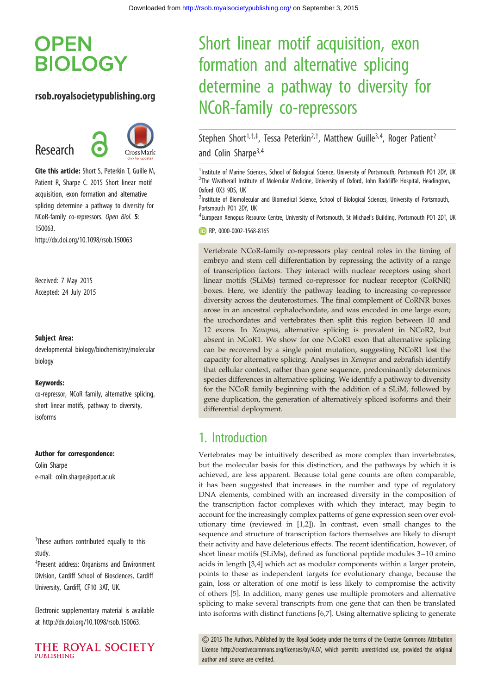# **OPEN BIOLOGY**

### rsob.royalsocietypublishing.org

Research



Cite this article: Short S, Peterkin T, Guille M, Patient R, Sharpe C. 2015 Short linear motif acquisition, exon formation and alternative splicing determine a pathway to diversity for NCoR-family co-repressors. Open Biol. 5: 150063. http://dx.doi.org/10.1098/rsob.150063

Received: 7 May 2015 Accepted: 24 July 2015

#### Subject Area:

developmental biology/biochemistry/molecular biology

#### Keywords:

co-repressor, NCoR family, alternative splicing, short linear motifs, pathway to diversity, isoforms

#### Author for correspondence:

Colin Sharpe e-mail: [colin.sharpe@port.ac.uk](mailto:colin.sharpe@port.ac.uk)

<sup>†</sup>These authors contributed equally to this study.

‡ Present address: Organisms and Environment Division, Cardiff School of Biosciences, Cardiff University, Cardiff, CF10 3AT, UK.

Electronic supplementary material is available at http://dx.doi.org/10.1098/rsob.150063.



# Short linear motif acquisition, exon formation and alternative splicing determine a pathway to diversity for NCoR-family co-repressors

Stephen Short<sup>1,†,‡</sup>, Tessa Peterkin<sup>2,†</sup>, Matthew Guille<sup>3,4</sup>, Roger Patient<sup>2</sup> and Colin Sharpe3,4

<sup>1</sup>Institute of Marine Sciences, School of Biological Science, University of Portsmouth, Portsmouth P01 2DY, UK <sup>2</sup>The Weatherall Institute of Molecular Medicine, University of Oxford, John Radcliffe Hospital, Headington, Oxford OX3 9DS, UK

<sup>3</sup>Institute of Biomolecular and Biomedical Science, School of Biological Sciences, University of Portsmouth, Portsmouth PO1 2DY, UK

<sup>4</sup> European Xenopus Resource Centre, University of Portsmouth, St Michael's Building, Portsmouth P01 2DT, UK

RP, [0000-0002-1568-8165](http://orcid.org/0000-0002-1568-8165)

Vertebrate NCoR-family co-repressors play central roles in the timing of embryo and stem cell differentiation by repressing the activity of a range of transcription factors. They interact with nuclear receptors using short linear motifs (SLiMs) termed co-repressor for nuclear receptor (CoRNR) boxes. Here, we identify the pathway leading to increasing co-repressor diversity across the deuterostomes. The final complement of CoRNR boxes arose in an ancestral cephalochordate, and was encoded in one large exon; the urochordates and vertebrates then split this region between 10 and 12 exons. In Xenopus, alternative splicing is prevalent in NCoR2, but absent in NCoR1. We show for one NCoR1 exon that alternative splicing can be recovered by a single point mutation, suggesting NCoR1 lost the capacity for alternative splicing. Analyses in Xenopus and zebrafish identify that cellular context, rather than gene sequence, predominantly determines species differences in alternative splicing. We identify a pathway to diversity for the NCoR family beginning with the addition of a SLiM, followed by gene duplication, the generation of alternatively spliced isoforms and their differential deployment.

## 1. Introduction

Vertebrates may be intuitively described as more complex than invertebrates, but the molecular basis for this distinction, and the pathways by which it is achieved, are less apparent. Because total gene counts are often comparable, it has been suggested that increases in the number and type of regulatory DNA elements, combined with an increased diversity in the composition of the transcription factor complexes with which they interact, may begin to account for the increasingly complex patterns of gene expression seen over evolutionary time (reviewed in [\[1,2](#page-8-0)]). In contrast, even small changes to the sequence and structure of transcription factors themselves are likely to disrupt their activity and have deleterious effects. The recent identification, however, of short linear motifs (SLiMs), defined as functional peptide modules 3-10 amino acids in length [[3](#page-8-0)[,4\]](#page-9-0) which act as modular components within a larger protein, points to these as independent targets for evolutionary change, because the gain, loss or alteration of one motif is less likely to compromise the activity of others [\[5\]](#page-9-0). In addition, many genes use multiple promoters and alternative splicing to make several transcripts from one gene that can then be translated into isoforms with distinct functions [\[6,7\]](#page-9-0). Using alternative splicing to generate

& 2015 The Authors. Published by the Royal Society under the terms of the Creative Commons Attribution License [http://creativecommons.org/licenses/by/4.0/, which permits unrestricted use, provided the original](http://creativecommons.org/licenses/by/4.0/) [author and source are credited.](http://creativecommons.org/licenses/by/4.0/)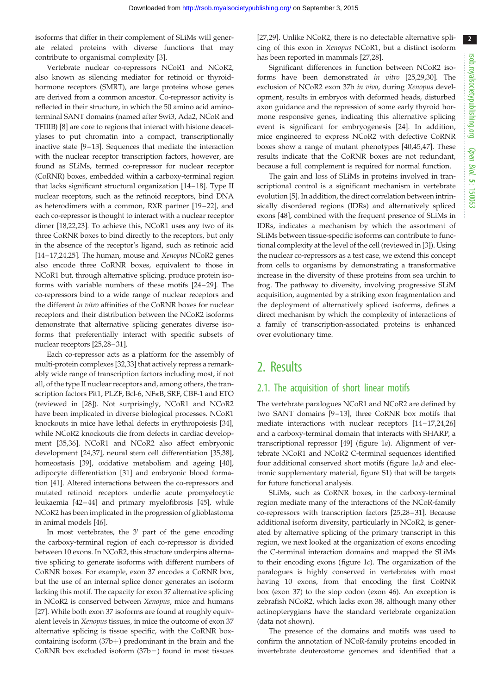isoforms that differ in their complement of SLiMs will generate related proteins with diverse functions that may contribute to organismal complexity [\[3\]](#page-8-0).

Vertebrate nuclear co-repressors NCoR1 and NCoR2, also known as silencing mediator for retinoid or thyroidhormone receptors (SMRT), are large proteins whose genes are derived from a common ancestor. Co-repressor activity is reflected in their structure, in which the 50 amino acid aminoterminal SANT domains (named after Swi3, Ada2, NCoR and TFIIIB) [\[8](#page-9-0)] are core to regions that interact with histone deacetylases to put chromatin into a compact, transcriptionally inactive state [[9](#page-9-0)–[13](#page-9-0)]. Sequences that mediate the interaction with the nuclear receptor transcription factors, however, are found as SLiMs, termed co-repressor for nuclear receptor (CoRNR) boxes, embedded within a carboxy-terminal region that lacks significant structural organization [\[14](#page-9-0)–[18\]](#page-9-0). Type II nuclear receptors, such as the retinoid receptors, bind DNA as heterodimers with a common, RXR partner [[19](#page-9-0)–[22\]](#page-9-0), and each co-repressor is thought to interact with a nuclear receptor dimer [[18,22,23\]](#page-9-0). To achieve this, NCoR1 uses any two of its three CoRNR boxes to bind directly to the receptors, but only in the absence of the receptor's ligand, such as retinoic acid [\[14](#page-9-0)–[17](#page-9-0),[24,25\]](#page-9-0). The human, mouse and Xenopus NCoR2 genes also encode three CoRNR boxes, equivalent to those in NCoR1 but, through alternative splicing, produce protein isoforms with variable numbers of these motifs [\[24](#page-9-0)–[29](#page-9-0)]. The co-repressors bind to a wide range of nuclear receptors and the different in vitro affinities of the CoRNR boxes for nuclear receptors and their distribution between the NCoR2 isoforms demonstrate that alternative splicing generates diverse isoforms that preferentially interact with specific subsets of nuclear receptors [\[25](#page-9-0),[28](#page-9-0)–[31\]](#page-9-0).

Each co-repressor acts as a platform for the assembly of multi-protein complexes [\[32](#page-9-0),[33\]](#page-9-0) that actively repress a remarkably wide range of transcription factors including most, if not all, of the type II nuclear receptors and, among others, the transcription factors Pit1, PLZF, Bcl-6, NFkB, SRF, CBF-1 and ETO (reviewed in [\[28](#page-9-0)]). Not surprisingly, NCoR1 and NCoR2 have been implicated in diverse biological processes. NCoR1 knockouts in mice have lethal defects in erythropoiesis [\[34](#page-9-0)], while NCoR2 knockouts die from defects in cardiac development [[35,36](#page-9-0)]. NCoR1 and NCoR2 also affect embryonic development [[24,37](#page-9-0)], neural stem cell differentiation [\[35,38](#page-9-0)], homeostasis [\[39](#page-9-0)], oxidative metabolism and ageing [\[40](#page-9-0)], adipocyte differentiation [\[31](#page-9-0)] and embryonic blood formation [[41\]](#page-9-0). Altered interactions between the co-repressors and mutated retinoid receptors underlie acute promyelocytic leukaemia [\[42](#page-9-0)-44] and primary myelofibrosis [\[45](#page-10-0)], while NCoR2 has been implicated in the progression of glioblastoma in animal models [\[46](#page-10-0)].

In most vertebrates, the  $3'$  part of the gene encoding the carboxy-terminal region of each co-repressor is divided between 10 exons. In NCoR2, this structure underpins alternative splicing to generate isoforms with different numbers of CoRNR boxes. For example, exon 37 encodes a CoRNR box, but the use of an internal splice donor generates an isoform lacking this motif. The capacity for exon 37 alternative splicing in NCoR2 is conserved between Xenopus, mice and humans [\[27](#page-9-0)]. While both exon 37 isoforms are found at roughly equivalent levels in Xenopus tissues, in mice the outcome of exon 37 alternative splicing is tissue specific, with the CoRNR boxcontaining isoform  $(37b+)$  predominant in the brain and the CoRNR box excluded isoform  $(37b-)$  found in most tissues

[[27,29\]](#page-9-0). Unlike NCoR2, there is no detectable alternative splicing of this exon in Xenopus NCoR1, but a distinct isoform has been reported in mammals [[27](#page-9-0),[28\]](#page-9-0).

Significant differences in function between NCoR2 isoforms have been demonstrated in vitro [\[25](#page-9-0),[29,30\]](#page-9-0). The exclusion of NCoR2 exon 37b in vivo, during Xenopus development, results in embryos with deformed heads, disturbed axon guidance and the repression of some early thyroid hormone responsive genes, indicating this alternative splicing event is significant for embryogenesis [[24\]](#page-9-0). In addition, mice engineered to express NCoR2 with defective CoRNR boxes show a range of mutant phenotypes [\[40](#page-9-0)[,45](#page-10-0),[47\]](#page-10-0). These results indicate that the CoRNR boxes are not redundant, because a full complement is required for normal function.

The gain and loss of SLiMs in proteins involved in transcriptional control is a significant mechanism in vertebrate evolution [[5](#page-9-0)]. In addition, the direct correlation between intrinsically disordered regions (IDRs) and alternatively spliced exons [[48\]](#page-10-0), combined with the frequent presence of SLiMs in IDRs, indicates a mechanism by which the assortment of SLiMs between tissue-specific isoforms can contribute to functional complexity at the level of the cell (reviewed in [\[3\]](#page-8-0)). Using the nuclear co-repressors as a test case, we extend this concept from cells to organisms by demonstrating a transformative increase in the diversity of these proteins from sea urchin to frog. The pathway to diversity, involving progressive SLiM acquisition, augmented by a striking exon fragmentation and the deployment of alternatively spliced isoforms, defines a direct mechanism by which the complexity of interactions of a family of transcription-associated proteins is enhanced over evolutionary time.

## 2. Results

#### 2.1. The acquisition of short linear motifs

The vertebrate paralogues NCoR1 and NCoR2 are defined by two SANT domains [[9](#page-9-0)–[13](#page-9-0)], three CoRNR box motifs that mediate interactions with nuclear receptors [\[14](#page-9-0)–17,[24,26\]](#page-9-0) and a carboxy-terminal domain that interacts with SHARP, a transcriptional repressor [[49\]](#page-10-0) [\(figure 1](#page-2-0)a). Alignment of vertebrate NCoR1 and NCoR2 C-terminal sequences identified four additional conserved short motifs ([figure 1](#page-2-0)a,b and electronic supplementary material, figure S1) that will be targets for future functional analysis.

SLiMs, such as CoRNR boxes, in the carboxy-terminal region mediate many of the interactions of the NCoR-family co-repressors with transcription factors [[25,28](#page-9-0) –[31](#page-9-0)]. Because additional isoform diversity, particularly in NCoR2, is generated by alternative splicing of the primary transcript in this region, we next looked at the organization of exons encoding the C-terminal interaction domains and mapped the SLiMs to their encoding exons [\(figure 1](#page-2-0)c). The organization of the paralogues is highly conserved in vertebrates with most having 10 exons, from that encoding the first CoRNR box (exon 37) to the stop codon (exon 46). An exception is zebrafish NCoR2, which lacks exon 38, although many other actinopterygians have the standard vertebrate organization (data not shown).

The presence of the domains and motifs was used to confirm the annotation of NCoR-family proteins encoded in invertebrate deuterostome genomes and identified that a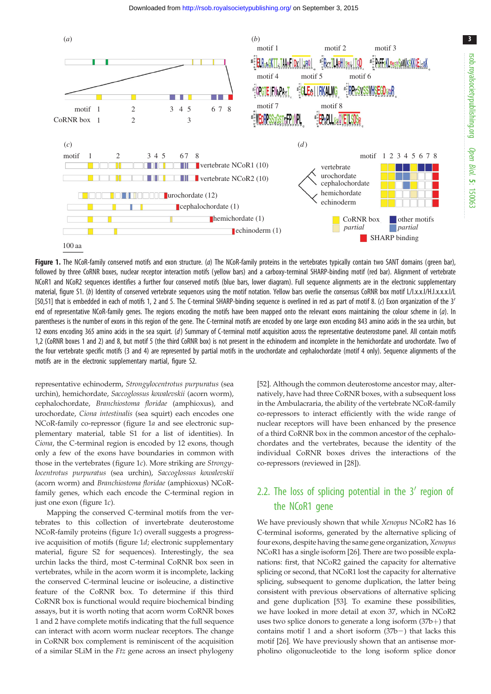<span id="page-2-0"></span>

Figure 1. The NCoR-family conserved motifs and exon structure. ( $a$ ) The NCoR-family proteins in the vertebrates typically contain two SANT domains (green bar), followed by three CoRNR boxes, nuclear receptor interaction motifs (yellow bars) and a carboxy-terminal SHARP-binding motif (red bar). Alignment of vertebrate NCoR1 and NCoR2 sequences identifies a further four conserved motifs (blue bars, lower diagram). Full sequence alignments are in the electronic supplementary material, figure S1. (b) Identity of conserved vertebrate sequences using the motif notation. Yellow bars overlie the consensus CoRNR box motif L/I.x.x.I/H.I.x.x.x.I/L [\[50,51\]](#page-10-0) that is embedded in each of motifs 1, 2 and 5. The C-terminal SHARP-binding sequence is overlined in red as part of motif 8. (c) Exon organization of the 3' end of representative NCoR-family genes. The regions encoding the motifs have been mapped onto the relevant exons maintaining the colour scheme in  $(a)$ . In parentheses is the number of exons in this region of the gene. The C-terminal motifs are encoded by one large exon encoding 843 amino acids in the sea urchin, but 12 exons encoding 365 amino acids in the sea squirt. (d) Summary of C-terminal motif acquisition across the representative deuterostome panel. All contain motifs 1,2 (CoRNR boxes 1 and 2) and 8, but motif 5 (the third CoRNR box) is not present in the echinoderm and incomplete in the hemichordate and urochordate. Two of the four vertebrate specific motifs (3 and 4) are represented by partial motifs in the urochordate and cephalochordate (motif 4 only). Sequence alignments of the motifs are in the electronic supplementary martial, figure S2.

representative echinoderm, Strongylocentrotus purpuratus (sea urchin), hemichordate, Saccoglossus kowalevskii (acorn worm), cephalochordate, Branchiostoma floridae (amphioxus), and urochordate, Ciona intestinalis (sea squirt) each encodes one NCoR-family co-repressor (figure 1a and see electronic supplementary material, table S1 for a list of identities). In Ciona, the C-terminal region is encoded by 12 exons, though only a few of the exons have boundaries in common with those in the vertebrates (figure 1c). More striking are Strongylocentrotus purpuratus (sea urchin), Saccoglossus kowalevskii (acorn worm) and Branchiostoma floridae (amphioxus) NCoRfamily genes, which each encode the C-terminal region in just one exon (figure 1c).

Mapping the conserved C-terminal motifs from the vertebrates to this collection of invertebrate deuterostome NCoR-family proteins (figure 1c) overall suggests a progressive acquisition of motifs (figure 1d; electronic supplementary material, figure S2 for sequences). Interestingly, the sea urchin lacks the third, most C-terminal CoRNR box seen in vertebrates, while in the acorn worm it is incomplete, lacking the conserved C-terminal leucine or isoleucine, a distinctive feature of the CoRNR box. To determine if this third CoRNR box is functional would require biochemical binding assays, but it is worth noting that acorn worm CoRNR boxes 1 and 2 have complete motifs indicating that the full sequence can interact with acorn worm nuclear receptors. The change in CoRNR box complement is reminiscent of the acquisition of a similar SLiM in the Ftz gene across an insect phylogeny

[[52\]](#page-10-0). Although the common deuterostome ancestor may, alternatively, have had three CoRNR boxes, with a subsequent loss in the Ambulacraria, the ability of the vertebrate NCoR-family co-repressors to interact efficiently with the wide range of nuclear receptors will have been enhanced by the presence of a third CoRNR box in the common ancestor of the cephalochordates and the vertebrates, because the identity of the individual CoRNR boxes drives the interactions of the co-repressors (reviewed in [[28\]](#page-9-0)).

## 2.2. The loss of splicing potential in the  $3'$  region of the NCoR1 gene

We have previously shown that while Xenopus NCoR2 has 16 C-terminal isoforms, generated by the alternative splicing of four exons, despite having the same gene organization, Xenopus NCoR1 has a single isoform [\[26](#page-9-0)]. There are two possible explanations: first, that NCoR2 gained the capacity for alternative splicing or second, that NCoR1 lost the capacity for alternative splicing, subsequent to genome duplication, the latter being consistent with previous observations of alternative splicing and gene duplication [[53\]](#page-10-0). To examine these possibilities, we have looked in more detail at exon 37, which in NCoR2 uses two splice donors to generate a long isoform  $(37b+)$  that contains motif 1 and a short isoform  $(37b-)$  that lacks this motif [\[26](#page-9-0)]. We have previously shown that an antisense morpholino oligonucleotide to the long isoform splice donor

3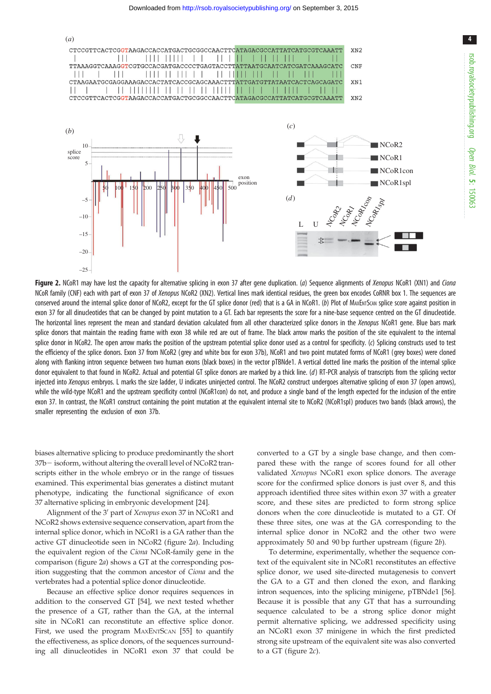<span id="page-3-0"></span>

Figure 2. NCoR1 may have lost the capacity for alternative splicing in exon 37 after gene duplication. (a) Sequence alignments of Xenopus NCoR1 (XN1) and Ciona NCoR family (CNF) each with part of exon 37 of Xenopus NCoR2 (XN2). Vertical lines mark identical residues, the green box encodes CoRNR box 1. The sequences are conserved around the internal splice donor of NCoR2, except for the GT splice donor (red) that is a GA in NCoR1. (b) Plot of MAXENTSCAN splice score against position in exon 37 for all dinucleotides that can be changed by point mutation to a GT. Each bar represents the score for a nine-base sequence centred on the GT dinucleotide. The horizontal lines represent the mean and standard deviation calculated from all other characterized splice donors in the Xenopus NCoR1 gene. Blue bars mark splice donors that maintain the reading frame with exon 38 while red are out of frame. The black arrow marks the position of the site equivalent to the internal splice donor in NCoR2. The open arrow marks the position of the upstream potential splice donor used as a control for specificity. (c) Splicing constructs used to test the efficiency of the splice donors. Exon 37 from NCoR2 (grey and white box for exon 37b), NCoR1 and two point mutated forms of NCoR1 (grey boxes) were cloned along with flanking intron sequence between two human exons (black boxes) in the vector pTBNde1. A vertical dotted line marks the position of the internal splice donor equivalent to that found in NCoR2. Actual and potential GT splice donors are marked by a thick line. (d) RT-PCR analysis of transcripts from the splicing vector injected into Xenopus embryos. L marks the size ladder, U indicates uninjected control. The NCoR2 construct undergoes alternative splicing of exon 37 (open arrows), while the wild-type NCoR1 and the upstream specificity control (NCoR1con) do not, and produce a single band of the length expected for the inclusion of the entire exon 37. In contrast, the NCoR1 construct containing the point mutation at the equivalent internal site to NCoR2 (NCoR1spl) produces two bands (black arrows), the smaller representing the exclusion of exon 37b.

biases alternative splicing to produce predominantly the short  $37b$  - isoform, without altering the overall level of NCoR2 transcripts either in the whole embryo or in the range of tissues examined. This experimental bias generates a distinct mutant phenotype, indicating the functional significance of exon 37 alternative splicing in embryonic development [\[24](#page-9-0)].

Alignment of the 3' part of Xenopus exon 37 in NCoR1 and NCoR2 shows extensive sequence conservation, apart from the internal splice donor, which in NCoR1 is a GA rather than the active GT dinucleotide seen in NCoR2 (figure 2a). Including the equivalent region of the Ciona NCoR-family gene in the comparison (figure 2a) shows a GT at the corresponding position suggesting that the common ancestor of Ciona and the vertebrates had a potential splice donor dinucleotide.

Because an effective splice donor requires sequences in addition to the conserved GT [\[54](#page-10-0)], we next tested whether the presence of a GT, rather than the GA, at the internal site in NCoR1 can reconstitute an effective splice donor. First, we used the program MAXENTSCAN [\[55](#page-10-0)] to quantify the effectiveness, as splice donors, of the sequences surrounding all dinucleotides in NCoR1 exon 37 that could be

converted to a GT by a single base change, and then compared these with the range of scores found for all other validated Xenopus NCoR1 exon splice donors. The average score for the confirmed splice donors is just over 8, and this approach identified three sites within exon 37 with a greater score, and these sites are predicted to form strong splice donors when the core dinucleotide is mutated to a GT. Of these three sites, one was at the GA corresponding to the internal splice donor in NCoR2 and the other two were approximately 50 and 90 bp further upstream (figure 2b).

To determine, experimentally, whether the sequence context of the equivalent site in NCoR1 reconstitutes an effective splice donor, we used site-directed mutagenesis to convert the GA to a GT and then cloned the exon, and flanking intron sequences, into the splicing minigene, pTBNde1 [[56\]](#page-10-0). Because it is possible that any GT that has a surrounding sequence calculated to be a strong splice donor might permit alternative splicing, we addressed specificity using an NCoR1 exon 37 minigene in which the first predicted strong site upstream of the equivalent site was also converted to a GT (figure  $2c$ ).

4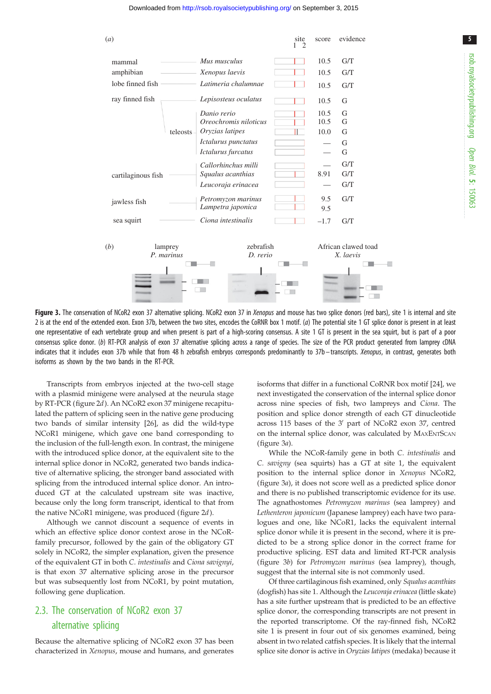<span id="page-4-0"></span>

Figure 3. The conservation of NCoR2 exon 37 alternative splicing. NCoR2 exon 37 in Xenopus and mouse has two splice donors (red bars), site 1 is internal and site 2 is at the end of the extended exon. Exon 37b, between the two sites, encodes the CoRNR box 1 motif. (a) The potential site 1 GT splice donor is present in at least one representative of each vertebrate group and when present is part of a high-scoring consensus. A site 1 GT is present in the sea squirt, but is part of a poor consensus splice donor. (b) RT-PCR analysis of exon 37 alternative splicing across a range of species. The size of the PCR product generated from lamprey cDNA indicates that it includes exon 37b while that from 48 h zebrafish embryos corresponds predominantly to 37b - transcripts. Xenopus, in contrast, generates both isoforms as shown by the two bands in the RT-PCR.

Transcripts from embryos injected at the two-cell stage with a plasmid minigene were analysed at the neurula stage by RT-PCR [\(figure 2](#page-3-0)d). An NCoR2 exon 37 minigene recapitulated the pattern of splicing seen in the native gene producing two bands of similar intensity [[26\]](#page-9-0), as did the wild-type NCoR1 minigene, which gave one band corresponding to the inclusion of the full-length exon. In contrast, the minigene with the introduced splice donor, at the equivalent site to the internal splice donor in NCoR2, generated two bands indicative of alternative splicing, the stronger band associated with splicing from the introduced internal splice donor. An introduced GT at the calculated upstream site was inactive, because only the long form transcript, identical to that from the native NCoR1 minigene, was produced ([figure 2](#page-3-0)d).

Although we cannot discount a sequence of events in which an effective splice donor context arose in the NCoRfamily precursor, followed by the gain of the obligatory GT solely in NCoR2, the simpler explanation, given the presence of the equivalent GT in both C. intestinalis and Ciona savignyi, is that exon 37 alternative splicing arose in the precursor but was subsequently lost from NCoR1, by point mutation, following gene duplication.

## 2.3. The conservation of NCoR2 exon 37 alternative splicing

Because the alternative splicing of NCoR2 exon 37 has been characterized in Xenopus, mouse and humans, and generates isoforms that differ in a functional CoRNR box motif [[24\]](#page-9-0), we next investigated the conservation of the internal splice donor across nine species of fish, two lampreys and Ciona. The position and splice donor strength of each GT dinucleotide across 115 bases of the  $3'$  part of NCoR2 exon 37, centred on the internal splice donor, was calculated by MAXENTSCAN (figure 3a).

While the NCoR-family gene in both C. intestinalis and C. savigny (sea squirts) has a GT at site 1, the equivalent position to the internal splice donor in Xenopus NCoR2, (figure 3a), it does not score well as a predicted splice donor and there is no published transcriptomic evidence for its use. The agnathostomes Petromyzon marinus (sea lamprey) and Lethenteron japonicum (Japanese lamprey) each have two paralogues and one, like NCoR1, lacks the equivalent internal splice donor while it is present in the second, where it is predicted to be a strong splice donor in the correct frame for productive splicing. EST data and limited RT-PCR analysis (figure 3b) for Petromyzon marinus (sea lamprey), though, suggest that the internal site is not commonly used.

Of three cartilaginous fish examined, only Squalus acanthias (dogfish) has site 1. Although the Leucoraja erinacea (little skate) has a site further upstream that is predicted to be an effective splice donor, the corresponding transcripts are not present in the reported transcriptome. Of the ray-finned fish, NCoR2 site 1 is present in four out of six genomes examined, being absent in two related catfish species. It is likely that the internal splice site donor is active in Oryzias latipes (medaka) because it 5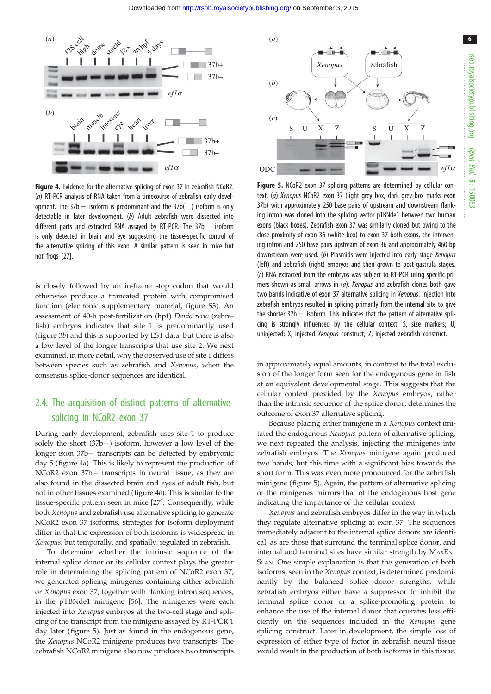<span id="page-5-0"></span>

Figure 4. Evidence for the alternative splicing of exon 37 in zebrafish NCoR2. (a) RT-PCR analysis of RNA taken from a timecourse of zebrafish early development. The  $37b$  isoform is predominant and the  $37b(+)$  isoform is only detectable in later development. (b) Adult zebrafish were dissected into different parts and extracted RNA assayed by RT-PCR. The  $37b + i$ soform is only detected in brain and eye suggesting the tissue-specific control of the alternative splicing of this exon. A similar pattern is seen in mice but not frogs [[27](#page-9-0)].

is closely followed by an in-frame stop codon that would otherwise produce a truncated protein with compromised function (electronic supplementary material, figure S3). An assessment of 40-h post-fertilization (hpf) Danio rerio (zebrafish) embryos indicates that site 1 is predominantly used [\(figure 3](#page-4-0)b) and this is supported by EST data, but there is also a low level of the longer transcripts that use site 2. We next examined, in more detail, why the observed use of site 1 differs between species such as zebrafish and Xenopus, when the consensus splice-donor sequences are identical.

## 2.4. The acquisition of distinct patterns of alternative splicing in NCoR2 exon 37

During early development, zebrafish uses site 1 to produce solely the short  $(37b-)$  isoform, however a low level of the longer exon  $37b$  transcripts can be detected by embryonic day 5 (figure 4a). This is likely to represent the production of NCoR2 exon  $37b+$  transcripts in neural tissue, as they are also found in the dissected brain and eyes of adult fish, but not in other tissues examined (figure 4b). This is similar to the tissue-specific pattern seen in mice [[27\]](#page-9-0). Consequently, while both Xenopus and zebrafish use alternative splicing to generate NCoR2 exon 37 isoforms, strategies for isoform deployment differ in that the expression of both isoforms is widespread in Xenopus, but temporally, and spatially, regulated in zebrafish.

To determine whether the intrinsic sequence of the internal splice donor or its cellular context plays the greater role in determining the splicing pattern of NCoR2 exon 37, we generated splicing minigenes containing either zebrafish or Xenopus exon 37, together with flanking intron sequences, in the pTBNde1 minigene [[56\]](#page-10-0). The minigenes were each injected into Xenopus embryos at the two-cell stage and splicing of the transcript from the minigene assayed by RT-PCR 1 day later (figure 5). Just as found in the endogenous gene, the Xenopus NCoR2 minigene produces two transcripts. The zebrafish NCoR2 minigene also now produces two transcripts



Figure 5. NCoR2 exon 37 splicing patterns are determined by cellular context. (a) Xenopus NCoR2 exon 37 (light grey box, dark grey box marks exon 37b) with approximately 250 base pairs of upstream and downstream flanking intron was cloned into the splicing vector pTBNde1 between two human exons (black boxes). Zebrafish exon 37 was similarly cloned but owing to the close proximity of exon 36 (white box) to exon 37 both exons, the intervening intron and 250 base pairs upstream of exon 36 and approximately 460 bp downstream were used. (b) Plasmids were injected into early stage Xenopus (left) and zebrafish (right) embryos and then grown to post-gastrula stages. (c) RNA extracted from the embryos was subject to RT-PCR using specific primers shown as small arrows in (a). Xenopus and zebrafish clones both gave two bands indicative of exon 37 alternative splicing in Xenopus. Injection into zebrafish embryos resulted in splicing primarily from the internal site to give the shorter  $37b$  - isoform. This indicates that the pattern of alternative splicing is strongly influenced by the cellular context. S, size markers; U, uninjected; X, injected Xenopus construct; Z, injected zebrafish construct.

in approximately equal amounts, in contrast to the total exclusion of the longer form seen for the endogenous gene in fish at an equivalent developmental stage. This suggests that the cellular context provided by the Xenopus embryos, rather than the intrinsic sequence of the splice donor, determines the outcome of exon 37 alternative splicing.

Because placing either minigene in a Xenopus context imitated the endogenous Xenopus pattern of alternative splicing, we next repeated the analysis, injecting the minigenes into zebrafish embryos. The Xenopus minigene again produced two bands, but this time with a significant bias towards the short form. This was even more pronounced for the zebrafish minigene (figure 5). Again, the pattern of alternative splicing of the minigenes mirrors that of the endogenous host gene indicating the importance of the cellular context.

Xenopus and zebrafish embryos differ in the way in which they regulate alternative splicing at exon 37. The sequences immediately adjacent to the internal splice donors are identical, as are those that surround the terminal splice donor, and internal and terminal sites have similar strength by MAXENT SCAN. One simple explanation is that the generation of both isoforms, seen in the Xenopus context, is determined predominantly by the balanced splice donor strengths, while zebrafish embryos either have a suppressor to inhibit the terminal splice donor or a splice-promoting protein to enhance the use of the internal donor that operates less efficiently on the sequences included in the Xenopus gene splicing construct. Later in development, the simple loss of expression of either type of factor in zebrafish neural tissue would result in the production of both isoforms in this tissue.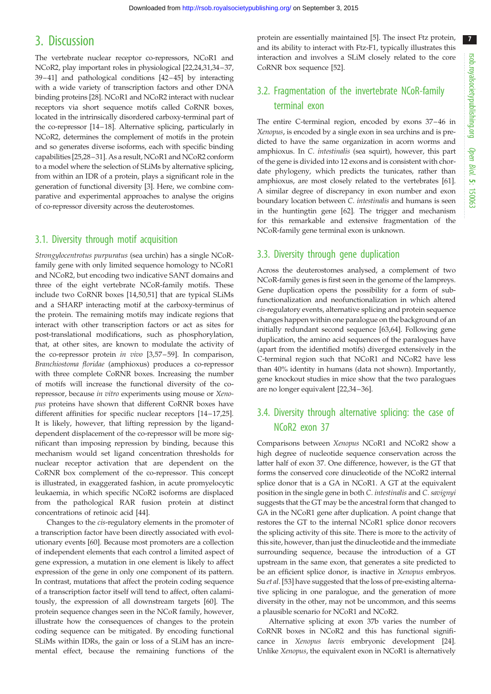7

## 3. Discussion

The vertebrate nuclear receptor co-repressors, NCoR1 and NCoR2, play important roles in physiological [\[22,24,31,34](#page-9-0)–[37](#page-9-0), [39](#page-9-0)–[41](#page-9-0)] and pathological conditions [[42](#page-9-0)–[45](#page-10-0)] by interacting with a wide variety of transcription factors and other DNA binding proteins [[28\]](#page-9-0). NCoR1 and NCoR2 interact with nuclear receptors via short sequence motifs called CoRNR boxes, located in the intrinsically disordered carboxy-terminal part of the co-repressor [[14](#page-9-0)–[18\]](#page-9-0). Alternative splicing, particularly in NCoR2, determines the complement of motifs in the protein and so generates diverse isoforms, each with specific binding capabilities [\[25,28](#page-9-0)–[31\]](#page-9-0). As a result, NCoR1 and NCoR2 conform to a model where the selection of SLiMs by alternative splicing, from within an IDR of a protein, plays a significant role in the generation of functional diversity [\[3](#page-8-0)]. Here, we combine comparative and experimental approaches to analyse the origins of co-repressor diversity across the deuterostomes.

#### 3.1. Diversity through motif acquisition

Strongylocentrotus purpuratus (sea urchin) has a single NCoRfamily gene with only limited sequence homology to NCoR1 and NCoR2, but encoding two indicative SANT domains and three of the eight vertebrate NCoR-family motifs. These include two CoRNR boxes [\[14](#page-9-0),[50,51\]](#page-10-0) that are typical SLiMs and a SHARP interacting motif at the carboxy-terminus of the protein. The remaining motifs may indicate regions that interact with other transcription factors or act as sites for post-translational modifications, such as phosphorylation, that, at other sites, are known to modulate the activity of the co-repressor protein in vivo [[3](#page-8-0),[57](#page-10-0)-59]. In comparison, Branchiostoma floridae (amphioxus) produces a co-repressor with three complete CoRNR boxes. Increasing the number of motifs will increase the functional diversity of the corepressor, because in vitro experiments using mouse or Xenopus proteins have shown that different CoRNR boxes have different affinities for specific nuclear receptors [[14](#page-9-0)–[17,25](#page-9-0)]. It is likely, however, that lifting repression by the liganddependent displacement of the co-repressor will be more significant than imposing repression by binding, because this mechanism would set ligand concentration thresholds for nuclear receptor activation that are dependent on the CoRNR box complement of the co-repressor. This concept is illustrated, in exaggerated fashion, in acute promyelocytic leukaemia, in which specific NCoR2 isoforms are displaced from the pathological RAR fusion protein at distinct concentrations of retinoic acid [[44\]](#page-9-0).

Changes to the cis-regulatory elements in the promoter of a transcription factor have been directly associated with evolutionary events [\[60](#page-10-0)]. Because most promoters are a collection of independent elements that each control a limited aspect of gene expression, a mutation in one element is likely to affect expression of the gene in only one component of its pattern. In contrast, mutations that affect the protein coding sequence of a transcription factor itself will tend to affect, often calamitously, the expression of all downstream targets [\[60](#page-10-0)]. The protein sequence changes seen in the NCoR family, however, illustrate how the consequences of changes to the protein coding sequence can be mitigated. By encoding functional SLiMs within IDRs, the gain or loss of a SLiM has an incremental effect, because the remaining functions of the

protein are essentially maintained [[5](#page-9-0)]. The insect Ftz protein, and its ability to interact with Ftz-F1, typically illustrates this interaction and involves a SLiM closely related to the core CoRNR box sequence [\[52](#page-10-0)].

## 3.2. Fragmentation of the invertebrate NCoR-family terminal exon

The entire C-terminal region, encoded by exons 37–46 in Xenopus, is encoded by a single exon in sea urchins and is predicted to have the same organization in acorn worms and amphioxus. In C. intestinalis (sea squirt), however, this part of the gene is divided into 12 exons and is consistent with chordate phylogeny, which predicts the tunicates, rather than amphioxus, are most closely related to the vertebrates [[61\]](#page-10-0). A similar degree of discrepancy in exon number and exon boundary location between C. intestinalis and humans is seen in the huntingtin gene [\[62](#page-10-0)]. The trigger and mechanism for this remarkable and extensive fragmentation of the NCoR-family gene terminal exon is unknown.

#### 3.3. Diversity through gene duplication

Across the deuterostomes analysed, a complement of two NCoR-family genes is first seen in the genome of the lampreys. Gene duplication opens the possibility for a form of subfunctionalization and neofunctionalization in which altered cis-regulatory events, alternative splicing and protein sequence changes happen within one paralogue on the background of an initially redundant second sequence [[63,64\]](#page-10-0). Following gene duplication, the amino acid sequences of the paralogues have (apart from the identified motifs) diverged extensively in the C-terminal region such that NCoR1 and NCoR2 have less than 40% identity in humans (data not shown). Importantly, gene knockout studies in mice show that the two paralogues are no longer equivalent [[22,34](#page-9-0)–[36](#page-9-0)].

## 3.4. Diversity through alternative splicing: the case of NCoR2 exon 37

Comparisons between Xenopus NCoR1 and NCoR2 show a high degree of nucleotide sequence conservation across the latter half of exon 37. One difference, however, is the GT that forms the conserved core dinucleotide of the NCoR2 internal splice donor that is a GA in NCoR1. A GT at the equivalent position in the single gene in both C. intestinalis and C. savignyi suggests that the GT may be the ancestral form that changed to GA in the NCoR1 gene after duplication. A point change that restores the GT to the internal NCoR1 splice donor recovers the splicing activity of this site. There is more to the activity of this site, however, than just the dinucleotide and the immediate surrounding sequence, because the introduction of a GT upstream in the same exon, that generates a site predicted to be an efficient splice donor, is inactive in Xenopus embryos. Su et al. [[53\]](#page-10-0) have suggested that the loss of pre-existing alternative splicing in one paralogue, and the generation of more diversity in the other, may not be uncommon, and this seems a plausible scenario for NCoR1 and NCoR2.

Alternative splicing at exon 37b varies the number of CoRNR boxes in NCoR2 and this has functional significance in Xenopus laevis embryonic development [[24\]](#page-9-0). Unlike Xenopus, the equivalent exon in NCoR1 is alternatively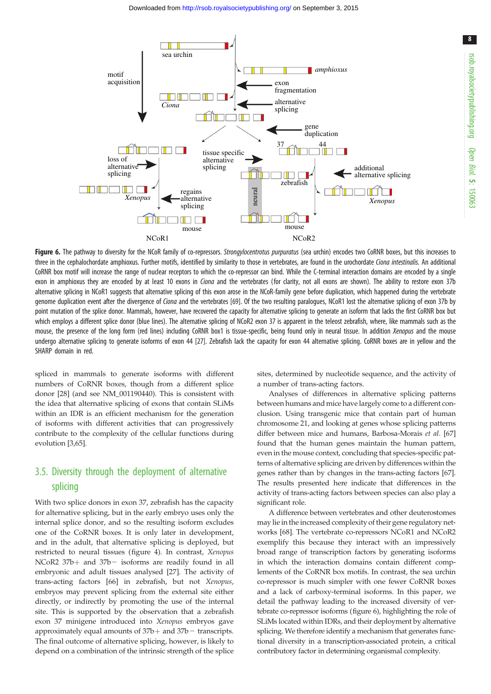8



Figure 6. The pathway to diversity for the NCoR family of co-repressors. Strongylocentrotus purpuratus (sea urchin) encodes two CoRNR boxes, but this increases to three in the cephalochordate amphioxus. Further motifs, identified by similarity to those in vertebrates, are found in the urochordate Ciona intestinalis. An additional CoRNR box motif will increase the range of nuclear receptors to which the co-repressor can bind. While the C-terminal interaction domains are encoded by a single exon in amphioxus they are encoded by at least 10 exons in *Ciona* and the vertebrates (for clarity, not all exons are shown). The ability to restore exon 37b alternative splicing in NCoR1 suggests that alternative splicing of this exon arose in the NCoR-family gene before duplication, which happened during the vertebrate genome duplication event after the divergence of *Ciona* and the vertebrates [[69](#page-10-0)]. Of the two resulting paralogues, NCoR1 lost the alternative splicing of exon 37b by point mutation of the splice donor. Mammals, however, have recovered the capacity for alternative splicing to generate an isoform that lacks the first CoRNR box but which employs a different splice donor (blue lines). The alternative splicing of NCoR2 exon 37 is apparent in the teleost zebrafish, where, like mammals such as the mouse, the presence of the long form (red lines) including CoRNR box1 is tissue-specific, being found only in neural tissue. In addition Xenopus and the mouse undergo alternative splicing to generate isoforms of exon 44 [\[27\]](#page-9-0). Zebrafish lack the capacity for exon 44 alternative splicing. CoRNR boxes are in yellow and the SHARP domain in red.

spliced in mammals to generate isoforms with different numbers of CoRNR boxes, though from a different splice donor [\[28](#page-9-0)] (and see NM\_001190440). This is consistent with the idea that alternative splicing of exons that contain SLiMs within an IDR is an efficient mechanism for the generation of isoforms with different activities that can progressively contribute to the complexity of the cellular functions during evolution [[3](#page-8-0)[,65](#page-10-0)].

## 3.5. Diversity through the deployment of alternative splicing

With two splice donors in exon 37, zebrafish has the capacity for alternative splicing, but in the early embryo uses only the internal splice donor, and so the resulting isoform excludes one of the CoRNR boxes. It is only later in development, and in the adult, that alternative splicing is deployed, but restricted to neural tissues ([figure 4\)](#page-5-0). In contrast, Xenopus NCoR2  $37b+$  and  $37b-$  isoforms are readily found in all embryonic and adult tissues analysed [\[27](#page-9-0)]. The activity of trans-acting factors [[66\]](#page-10-0) in zebrafish, but not Xenopus, embryos may prevent splicing from the external site either directly, or indirectly by promoting the use of the internal site. This is supported by the observation that a zebrafish exon 37 minigene introduced into Xenopus embryos gave approximately equal amounts of  $37b+$  and  $37b-$  transcripts. The final outcome of alternative splicing, however, is likely to depend on a combination of the intrinsic strength of the splice

sites, determined by nucleotide sequence, and the activity of a number of trans-acting factors.

Analyses of differences in alternative splicing patterns between humans and mice have largely come to a different conclusion. Using transgenic mice that contain part of human chromosome 21, and looking at genes whose splicing patterns differ between mice and humans, Barbosa-Morais et al. [[67\]](#page-10-0) found that the human genes maintain the human pattern, even in the mouse context, concluding that species-specific patterns of alternative splicing are driven by differences within the genes rather than by changes in the trans-acting factors [[67\]](#page-10-0). The results presented here indicate that differences in the activity of trans-acting factors between species can also play a significant role.

A difference between vertebrates and other deuterostomes may lie in the increased complexity of their gene regulatory networks [\[68](#page-10-0)]. The vertebrate co-repressors NCoR1 and NCoR2 exemplify this because they interact with an impressively broad range of transcription factors by generating isoforms in which the interaction domains contain different complements of the CoRNR box motifs. In contrast, the sea urchin co-repressor is much simpler with one fewer CoRNR boxes and a lack of carboxy-terminal isoforms. In this paper, we detail the pathway leading to the increased diversity of vertebrate co-repressor isoforms (figure 6), highlighting the role of SLiMs located within IDRs, and their deployment by alternative splicing. We therefore identify a mechanism that generates functional diversity in a transcription-associated protein, a critical contributory factor in determining organismal complexity.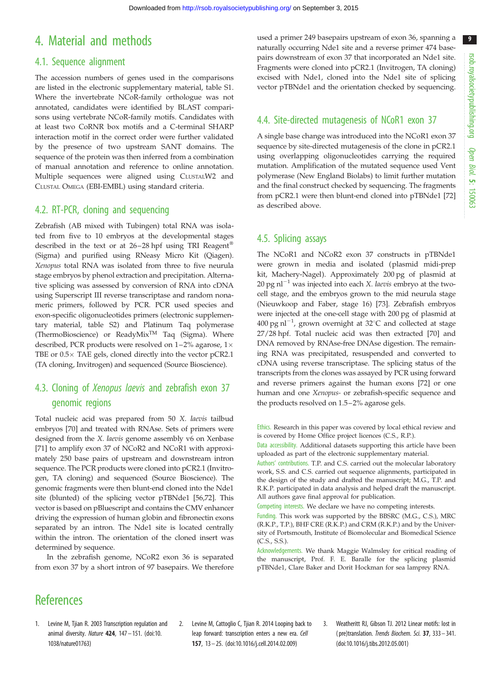9

# <span id="page-8-0"></span>4. Material and methods

### 4.1. Sequence alignment

The accession numbers of genes used in the comparisons are listed in the electronic supplementary material, table S1. Where the invertebrate NCoR-family orthologue was not annotated, candidates were identified by BLAST comparisons using vertebrate NCoR-family motifs. Candidates with at least two CoRNR box motifs and a C-terminal SHARP interaction motif in the correct order were further validated by the presence of two upstream SANT domains. The sequence of the protein was then inferred from a combination of manual annotation and reference to online annotation. Multiple sequences were aligned using CLUSTALW2 and CLUSTAL OMEGA (EBI-EMBL) using standard criteria.

## 4.2. RT-PCR, cloning and sequencing

Zebrafish (AB mixed with Tubingen) total RNA was isolated from five to 10 embryos at the developmental stages described in the text or at  $26-28$  hpf using TRI Reagent<sup>®</sup> (Sigma) and purified using RNeasy Micro Kit (Qiagen). Xenopus total RNA was isolated from three to five neurula stage embryos by phenol extraction and precipitation. Alternative splicing was assessed by conversion of RNA into cDNA using Superscript III reverse transcriptase and random nonameric primers, followed by PCR. PCR used species and exon-specific oligonucleotides primers (electronic supplementary material, table S2) and Platinum Taq polymerase (ThermoBioscience) or ReadyMixTM Taq (Sigma). Where described, PCR products were resolved on 1–2% agarose, 1 $\times$ TBE or  $0.5\times$  TAE gels, cloned directly into the vector pCR2.1 (TA cloning, Invitrogen) and sequenced (Source Bioscience).

## 4.3. Cloning of Xenopus laevis and zebrafish exon 37 genomic regions

Total nucleic acid was prepared from 50 X. laevis tailbud embryos [\[70](#page-10-0)] and treated with RNAse. Sets of primers were designed from the X. laevis genome assembly v6 on Xenbase [\[71](#page-10-0)] to amplify exon 37 of NCoR2 and NCoR1 with approximately 250 base pairs of upstream and downstream intron sequence. The PCR products were cloned into pCR2.1 (Invitrogen, TA cloning) and sequenced (Source Bioscience). The genomic fragments were then blunt-end cloned into the Nde1 site (blunted) of the splicing vector pTBNde1 [\[56,72](#page-10-0)]. This vector is based on pBluescript and contains the CMV enhancer driving the expression of human globin and fibronectin exons separated by an intron. The Nde1 site is located centrally within the intron. The orientation of the cloned insert was determined by sequence.

In the zebrafish genome, NCoR2 exon 36 is separated from exon 37 by a short intron of 97 basepairs. We therefore used a primer 249 basepairs upstream of exon 36, spanning a naturally occurring Nde1 site and a reverse primer 474 basepairs downstream of exon 37 that incorporated an Nde1 site. Fragments were cloned into pCR2.1 (Invitrogen, TA cloning) excised with Nde1, cloned into the Nde1 site of splicing vector pTBNde1 and the orientation checked by sequencing.

## 4.4. Site-directed mutagenesis of NCoR1 exon 37

A single base change was introduced into the NCoR1 exon 37 sequence by site-directed mutagenesis of the clone in pCR2.1 using overlapping oligonucleotides carrying the required mutation. Amplification of the mutated sequence used Vent polymerase (New England Biolabs) to limit further mutation and the final construct checked by sequencing. The fragments from pCR2.1 were then blunt-end cloned into pTBNde1 [[72\]](#page-10-0) as described above.

### 4.5. Splicing assays

The NCoR1 and NCoR2 exon 37 constructs in pTBNde1 were grown in media and isolated (plasmid midi-prep kit, Machery-Nagel). Approximately 200 pg of plasmid at 20 pg nl<sup> $-1$ </sup> was injected into each X. laevis embryo at the twocell stage, and the embryos grown to the mid neurula stage (Nieuwkoop and Faber, stage 16) [[73\]](#page-10-0). Zebrafish embryos were injected at the one-cell stage with 200 pg of plasmid at 400 pg nl<sup>-1</sup>, grown overnight at 32°C and collected at stage 27/28 hpf. Total nucleic acid was then extracted [\[70](#page-10-0)] and DNA removed by RNAse-free DNAse digestion. The remaining RNA was precipitated, resuspended and converted to cDNA using reverse transcriptase. The splicing status of the transcripts from the clones was assayed by PCR using forward and reverse primers against the human exons [[72\]](#page-10-0) or one human and one Xenopus- or zebrafish-specific sequence and the products resolved on 1.5–2% agarose gels.

Ethics. Research in this paper was covered by local ethical review and is covered by Home Office project licences (C.S., R.P.).

Data accessibility. Additional datasets supporting this article have been uploaded as part of the electronic supplementary material.

Authors' contributions. T.P. and C.S. carried out the molecular laboratory work, S.S. and C.S. carried out sequence alignments, participated in the design of the study and drafted the manuscript; M.G., T.P. and R.K.P. participated in data analysis and helped draft the manuscript. All authors gave final approval for publication.

Competing interests. We declare we have no competing interests.

Funding. This work was supported by the BBSRC (M.G., C.S.), MRC (R.K.P., T.P.), BHF CRE (R.K.P.) and CRM (R.K.P.) and by the University of Portsmouth, Institute of Biomolecular and Biomedical Science (C.S., S.S.).

Acknowledgements. We thank Maggie Walmsley for critical reading of the manuscript, Prof. F. E. Baralle for the splicing plasmid pTBNde1, Clare Baker and Dorit Hockman for sea lamprey RNA.

## **References**

- 1. Levine M, Tjian R. 2003 Transcription regulation and animal diversity. Nature  $424$ ,  $147 - 151$ . [\(doi:10.](http://dx.doi.org/10.1038/nature01763) [1038/nature01763](http://dx.doi.org/10.1038/nature01763))
- 2. Levine M, Cattoglio C, Tjian R. 2014 Looping back to leap forward: transcription enters a new era. Cell 157, 13 – 25. ([doi:10.1016/j.cell.2014.02.009](http://dx.doi.org/10.1016/j.cell.2014.02.009))
- 3. Weatheritt RJ, Gibson TJ. 2012 Linear motifs: lost in ( pre)translation. Trends Biochem. Sci. 37, 333 – 341. ([doi:10.1016/j.tibs.2012.05.001](http://dx.doi.org/10.1016/j.tibs.2012.05.001))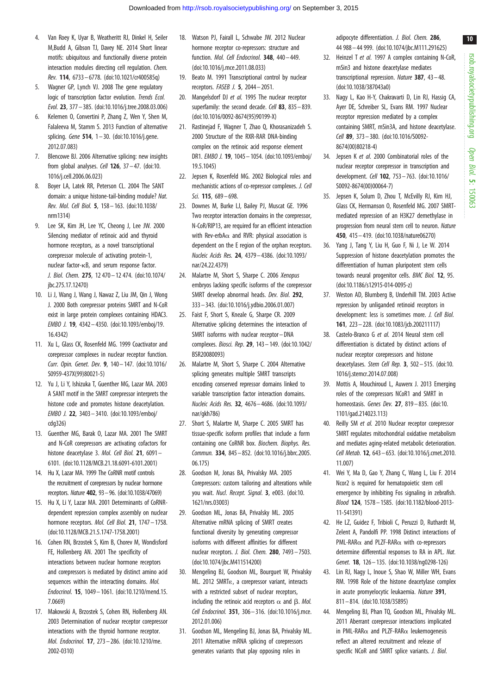- <span id="page-9-0"></span>4. Van Roey K, Uyar B, Weatheritt RJ, Dinkel H, Seiler M,Budd A, Gibson TJ, Davey NE. 2014 Short linear motifs: ubiquitous and functionally diverse protein interaction modules directing cell regulation. Chem. Rev. 114, 6733– 6778. [\(doi:10.1021/cr400585q](http://dx.doi.org/10.1021/cr400585q))
- 5. Wagner GP, Lynch VJ. 2008 The gene regulatory logic of transcription factor evolution. Trends Ecol. Evol. 23, 377 – 385. ([doi:10.1016/j.tree.2008.03.006\)](http://dx.doi.org/10.1016/j.tree.2008.03.006)
- 6. Kelemen O, Convertini P, Zhang Z, Wen Y, Shen M, Falaleeva M, Stamm S. 2013 Function of alternative splicing. Gene 514,  $1 - 30$ . [\(doi:10.1016/j.gene.](http://dx.doi.org/10.1016/j.gene.2012.07.083) [2012.07.083\)](http://dx.doi.org/10.1016/j.gene.2012.07.083)
- 7. Blencowe BJ. 2006 Alternative splicing: new insights from global analyses. Cell  $126$ ,  $37 - 47$ . [\(doi:10.](http://dx.doi.org/10.1016/j.cell.2006.06.023) [1016/j.cell.2006.06.023\)](http://dx.doi.org/10.1016/j.cell.2006.06.023)
- 8. Boyer LA, Latek RR, Peterson CL. 2004 The SANT domain: a unique histone-tail-binding module? Nat. Rev. Mol. Cell Biol. 5, 158– 163. ([doi:10.1038/](http://dx.doi.org/10.1038/nrm1314) [nrm1314\)](http://dx.doi.org/10.1038/nrm1314)
- 9. Lee SK, Kim JH, Lee YC, Cheong J, Lee JW. 2000 Silencing mediator of retinoic acid and thyroid hormone receptors, as a novel transcriptional corepressor molecule of activating protein-1, nuclear factor-kB, and serum response factor. J. Biol. Chem. 275, 12 470 – 12 474. ([doi:10.1074/](http://dx.doi.org/10.1074/jbc.275.17.12470) [jbc.275.17.12470\)](http://dx.doi.org/10.1074/jbc.275.17.12470)
- 10. Li J, Wang J, Wang J, Nawaz Z, Liu JM, Qin J, Wong J. 2000 Both corepressor proteins SMRT and N-CoR exist in large protein complexes containing HDAC3. EMBO J. 19, 4342– 4350. [\(doi:10.1093/emboj/19.](http://dx.doi.org/10.1093/emboj/19.16.4342) [16.4342](http://dx.doi.org/10.1093/emboj/19.16.4342))
- 11. Xu L, Glass CK, Rosenfeld MG. 1999 Coactivator and corepressor complexes in nuclear receptor function. Curr. Opin. Genet. Dev. 9, 140– 147. ([doi:10.1016/](http://dx.doi.org/10.1016/S0959-437X(99)80021-5) [S0959-437X\(99\)80021-5\)](http://dx.doi.org/10.1016/S0959-437X(99)80021-5)
- 12. Yu J, Li Y, Ishizuka T, Guenther MG, Lazar MA. 2003 A SANT motif in the SMRT corepressor interprets the histone code and promotes histone deacetylation. EMBO J. 22, 3403– 3410. [\(doi:10.1093/emboj/](http://dx.doi.org/10.1093/emboj/cdg326) [cdg326\)](http://dx.doi.org/10.1093/emboj/cdg326)
- 13. Guenther MG, Barak O, Lazar MA. 2001 The SMRT and N-CoR corepressors are activating cofactors for histone deacetylase 3. Mol. Cell Biol. 21, 6091-6101. ([doi:10.1128/MCB.21.18.6091-6101.2001\)](http://dx.doi.org/10.1128/MCB.21.18.6091-6101.2001)
- 14. Hu X, Lazar MA. 1999 The CoRNR motif controls the recruitment of corepressors by nuclear hormone receptors. Nature 402, 93–96. ([doi:10.1038/47069](http://dx.doi.org/10.1038/47069))
- 15. Hu X, Li Y, Lazar MA. 2001 Determinants of CoRNRdependent repression complex assembly on nuclear hormone receptors. Mol. Cell Biol. 21, 1747-1758. [\(doi:10.1128/MCB.21.5.1747-1758.2001\)](http://dx.doi.org/10.1128/MCB.21.5.1747-1758.2001)
- 16. Cohen RN, Brzostek S, Kim B, Chorev M, Wondisford FE, Hollenberg AN. 2001 The specificity of interactions between nuclear hormone receptors and corepressors is mediated by distinct amino acid sequences within the interacting domains. Mol. Endocrinol. 15, 1049– 1061. ([doi:10.1210/mend.15.](http://dx.doi.org/10.1210/mend.15.7.0669) [7.0669\)](http://dx.doi.org/10.1210/mend.15.7.0669)
- 17. Makowski A, Brzostek S, Cohen RN, Hollenberg AN. 2003 Determination of nuclear receptor corepressor interactions with the thyroid hormone receptor. Mol. Endocrinol. 17, 273– 286. [\(doi:10.1210/me.](http://dx.doi.org/10.1210/me.2002-0310) [2002-0310\)](http://dx.doi.org/10.1210/me.2002-0310)
- 18. Watson PJ, Fairall L, Schwabe JW. 2012 Nuclear hormone receptor co-repressors: structure and function. Mol. Cell Endocrinol. 348, 440-449. [\(doi:10.1016/j.mce.2011.08.033\)](http://dx.doi.org/10.1016/j.mce.2011.08.033)
- 19. Beato M. 1991 Transcriptional control by nuclear receptors. FASEB J. 5, 2044 – 2051.
- 20. Mangelsdorf DJ et al. 1995 The nuclear receptor superfamily: the second decade. Cell 83, 835-839. [\(doi:10.1016/0092-8674\(95\)90199-X](http://dx.doi.org/10.1016/0092-8674(95)90199-X))
- 21. Rastinejad F, Wagner T, Zhao Q, Khorasanizadeh S. 2000 Structure of the RXR-RAR DNA-binding complex on the retinoic acid response element DR1. EMBO J. 19, 1045 – 1054. ([doi:10.1093/emboj/](http://dx.doi.org/10.1093/emboj/19.5.1045) [19.5.1045\)](http://dx.doi.org/10.1093/emboj/19.5.1045)
- 22. Jepsen K, Rosenfeld MG. 2002 Biological roles and mechanistic actions of co-repressor complexes. J. Cell Sci. 115, 689 – 698.
- 23. Downes M, Burke LJ, Bailey PJ, Muscat GE. 1996 Two receptor interaction domains in the corepressor, N-CoR/RIP13, are required for an efficient interaction with Rev-erbA $\alpha$  and RVR: physical association is dependent on the E region of the orphan receptors. Nucleic Acids Res. 24, 4379– 4386. [\(doi:10.1093/](http://dx.doi.org/10.1093/nar/24.22.4379) [nar/24.22.4379\)](http://dx.doi.org/10.1093/nar/24.22.4379)
- 24. Malartre M, Short S, Sharpe C. 2006 Xenopus embryos lacking specific isoforms of the corepressor SMRT develop abnormal heads. Dev. Biol. 292. 333 – 343. [\(doi:10.1016/j.ydbio.2006.01.007\)](http://dx.doi.org/10.1016/j.ydbio.2006.01.007)
- 25. Faist F, Short S, Kneale G, Sharpe CR. 2009 Alternative splicing determines the interaction of SMRT isoforms with nuclear receptor–DNA complexes. Biosci. Rep. 29, 143– 149. [\(doi:10.1042/](http://dx.doi.org/10.1042/BSR20080093) [BSR20080093](http://dx.doi.org/10.1042/BSR20080093))
- 26. Malartre M, Short S, Sharpe C. 2004 Alternative splicing generates multiple SMRT transcripts encoding conserved repressor domains linked to variable transcription factor interaction domains. Nucleic Acids Res. 32, 4676– 4686. [\(doi:10.1093/](http://dx.doi.org/10.1093/nar/gkh786) [nar/gkh786\)](http://dx.doi.org/10.1093/nar/gkh786)
- 27. Short S, Malartre M, Sharpe C. 2005 SMRT has tissue-specific isoform profiles that include a form containing one CoRNR box. Biochem. Biophys. Res. Commun. 334, 845– 852. ([doi:10.1016/j.bbrc.2005.](http://dx.doi.org/10.1016/j.bbrc.2005.06.175) [06.175](http://dx.doi.org/10.1016/j.bbrc.2005.06.175))
- 28. Goodson M, Jonas BA, Privalsky MA. 2005 Corepressors: custom tailoring and alterations while you wait. Nucl. Recept. Signal. 3, e003. [\(doi:10.](http://dx.doi.org/10.1621/nrs.03003) [1621/nrs.03003\)](http://dx.doi.org/10.1621/nrs.03003)
- 29. Goodson ML, Jonas BA, Privalsky ML. 2005 Alternative mRNA splicing of SMRT creates functional diversity by generating corepressor isoforms with different affinities for different nuclear receptors. J. Biol. Chem. 280, 7493 – 7503. [\(doi:10.1074/jbc.M411514200\)](http://dx.doi.org/10.1074/jbc.M411514200)
- 30. Mengeling BJ, Goodson ML, Bourguet W, Privalsky ML. 2012 SMRT<sub>E</sub>, a corepressor variant, interacts with a restricted subset of nuclear receptors, including the retinoic acid receptors  $\alpha$  and B. Mol. Cell Endocrinol. 351, 306– 316. ([doi:10.1016/j.mce.](http://dx.doi.org/10.1016/j.mce.2012.01.006) [2012.01.006\)](http://dx.doi.org/10.1016/j.mce.2012.01.006)
- 31. Goodson ML, Mengeling BJ, Jonas BA, Privalsky ML. 2011 Alternative mRNA splicing of corepressors generates variants that play opposing roles in

adipocyte differentiation. J. Biol. Chem. 286, 44 988 – 44 999. [\(doi:10.1074/jbc.M111.291625\)](http://dx.doi.org/10.1074/jbc.M111.291625)

- 32. Heinzel T et al. 1997 A complex containing N-CoR, mSin3 and histone deacetylase mediates transcriptional repression. Nature 387, 43 – 48. ([doi:10.1038/387043a0](http://dx.doi.org/10.1038/387043a0))
- 33. Nagy L, Kao H-Y, Chakravarti D, Lin RJ, Hassig CA, Ayer DE, Schreiber SL, Evans RM. 1997 Nuclear receptor repression mediated by a complex containing SMRT, mSin3A, and histone deacetylase. Cell 89, 373 – 380. ([doi:10.1016/S0092-](http://dx.doi.org/10.1016/S0092-8674(00)80218-4) [8674\(00\)80218-4](http://dx.doi.org/10.1016/S0092-8674(00)80218-4))
- 34. Jepsen K et al. 2000 Combinatorial roles of the nuclear receptor corepressor in transcription and development. Cell 102, 753– 763. ([doi:10.1016/](http://dx.doi.org/10.1016/S0092-8674(00)00064-7) [S0092-8674\(00\)00064-7](http://dx.doi.org/10.1016/S0092-8674(00)00064-7))
- 35. Jepsen K, Solum D, Zhou T, McEvilly RJ, Kim HJ, Glass CK, Hermanson O, Rosenfeld MG. 2007 SMRTmediated repression of an H3K27 demethylase in progression from neural stem cell to neuron. Nature 450, 415– 419. [\(doi:10.1038/nature06270](http://dx.doi.org/10.1038/nature06270))
- 36. Yang J, Tang Y, Liu H, Guo F, Ni J, Le W. 2014 Suppression of histone deacetylation promotes the differentiation of human pluripotent stem cells towards neural progenitor cells. BMC Biol. 12, 95. ([doi:10.1186/s12915-014-0095-z\)](http://dx.doi.org/10.1186/s12915-014-0095-z)
- 37. Weston AD, Blumberg B, Underhill TM. 2003 Active repression by unliganded retinoid receptors in development: less is sometimes more. J. Cell Biol. 161, 223– 228. [\(doi:10.1083/jcb.200211117\)](http://dx.doi.org/10.1083/jcb.200211117)
- 38. Castelo-Branco G et al. 2014 Neural stem cell differentiation is dictated by distinct actions of nuclear receptor corepressors and histone deacetylases. Stem Cell Rep. 3, 502 – 515. [\(doi:10.](http://dx.doi.org/10.1016/j.stemcr.2014.07.008) [1016/j.stemcr.2014.07.008](http://dx.doi.org/10.1016/j.stemcr.2014.07.008))
- 39. Mottis A, Mouchiroud L, Auwerx J. 2013 Emerging roles of the corepressors NCoR1 and SMRT in homeostasis. Genes Dev. 27, 819 – 835. ([doi:10.](http://dx.doi.org/10.1101/gad.214023.113) [1101/gad.214023.113\)](http://dx.doi.org/10.1101/gad.214023.113)
- 40. Reilly SM et al. 2010 Nuclear receptor corepressor SMRT regulates mitochondrial oxidative metabolism and mediates aging-related metabolic deterioration. Cell Metab. 12, 643– 653. [\(doi:10.1016/j.cmet.2010.](http://dx.doi.org/10.1016/j.cmet.2010.11.007) [11.007](http://dx.doi.org/10.1016/j.cmet.2010.11.007))
- 41. Wei Y, Ma D, Gao Y, Zhang C, Wang L, Liu F. 2014 Ncor2 is required for hematopoietic stem cell emergence by inhibiting Fos signaling in zebrafish. Blood 124, 1578 – 1585. [\(doi:10.1182/blood-2013-](http://dx.doi.org/10.1182/blood-2013-11-541391) [11-541391](http://dx.doi.org/10.1182/blood-2013-11-541391))
- 42. He LZ, Guidez F, Tribioli C, Peruzzi D, Ruthardt M, Zelent A, Pandolfi PP. 1998 Distinct interactions of  $PML-RAR\alpha$  and PLZF-RAR $\alpha$  with co-repressors determine differential responses to RA in APL. Nat. Genet. 18, 126– 135. [\(doi:10.1038/ng0298-126](http://dx.doi.org/10.1038/ng0298-126))
- 43. Lin RJ, Nagy L, Inoue S, Shao W, Miller WH, Evans RM. 1998 Role of the histone deacetylase complex in acute promyelocytic leukaemia. Nature 391. 811– 814. [\(doi:10.1038/35895\)](http://dx.doi.org/10.1038/35895)
- 44. Mengeling BJ, Phan TQ, Goodson ML, Privalsky ML. 2011 Aberrant corepressor interactions implicated in PML-RAR $\alpha$  and PLZF-RAR $\alpha$  leukemogenesis reflect an altered recruitment and release of specific NCoR and SMRT splice variants. J. Biol.